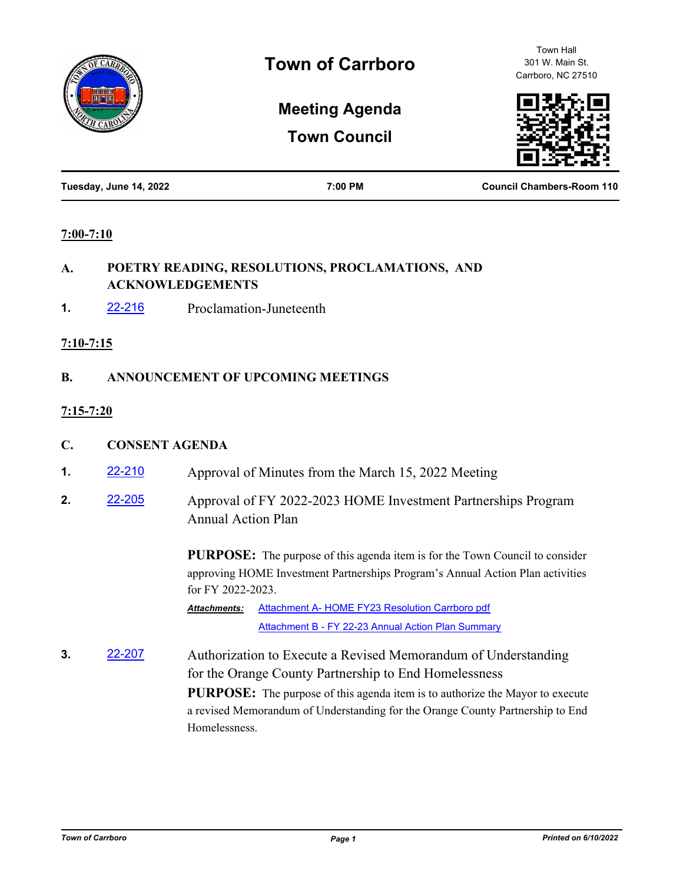

Town Hall 301 W. Main St. Carrboro, NC 27510

# **Meeting Agenda**

**Town Council**



| Tuesday, June 14, 2022<br>7:00 PM | <b>Council Chambers-Room 110</b> |
|-----------------------------------|----------------------------------|
|-----------------------------------|----------------------------------|

#### **7:00-7:10**

#### **A. POETRY READING, RESOLUTIONS, PROCLAMATIONS, AND ACKNOWLEDGEMENTS**

**1.** [22-216](http://carrboro.legistar.com/gateway.aspx?m=l&id=/matter.aspx?key=4829) Proclamation-Juneteenth

#### **7:10-7:15**

## **B. ANNOUNCEMENT OF UPCOMING MEETINGS**

## **7:15-7:20**

- **C. CONSENT AGENDA**
- **1. [22-210](http://carrboro.legistar.com/gateway.aspx?m=l&id=/matter.aspx?key=4823)** Approval of Minutes from the March 15, 2022 Meeting
- **2.** [22-205](http://carrboro.legistar.com/gateway.aspx?m=l&id=/matter.aspx?key=4818) Approval of FY 2022-2023 HOME Investment Partnerships Program Annual Action Plan

**PURPOSE:** The purpose of this agenda item is for the Town Council to consider approving HOME Investment Partnerships Program's Annual Action Plan activities for FY 2022-2023.

[Attachment A- HOME FY23 Resolution Carrboro pdf](http://carrboro.legistar.com/gateway.aspx?M=F&ID=37bdfa8f-abce-4fd1-91e1-ca584c24457e.pdf) [Attachment B - FY 22-23 Annual Action Plan Summary](http://carrboro.legistar.com/gateway.aspx?M=F&ID=f6551342-50f4-4908-9c04-747a85645fc7.pdf) *Attachments:*

**3.** [22-207](http://carrboro.legistar.com/gateway.aspx?m=l&id=/matter.aspx?key=4820) Authorization to Execute a Revised Memorandum of Understanding for the Orange County Partnership to End Homelessness **PURPOSE:** The purpose of this agenda item is to authorize the Mayor to execute a revised Memorandum of Understanding for the Orange County Partnership to End Homelessness.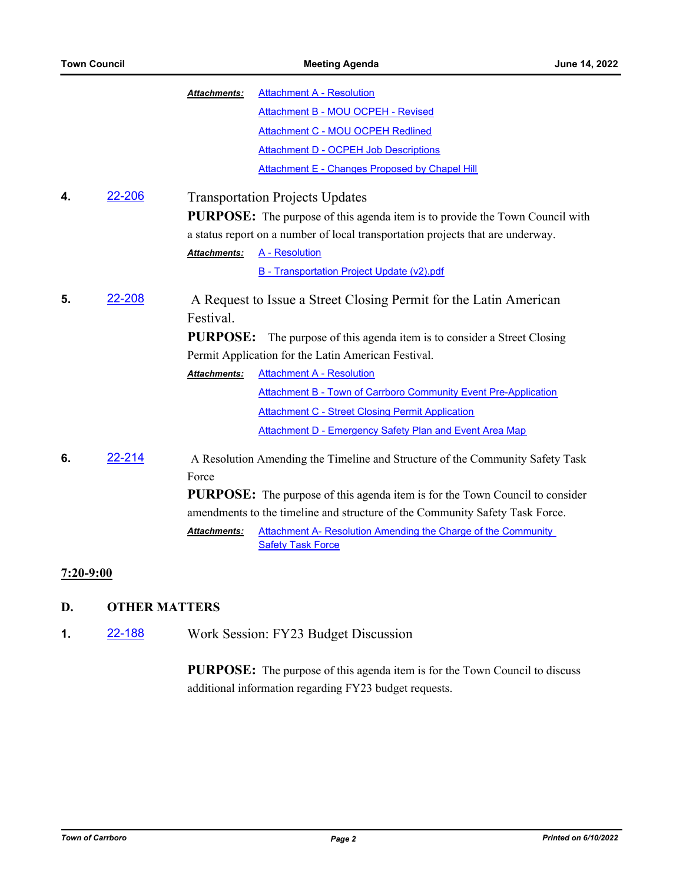|    |        | <b>Attachment A - Resolution</b><br>Attachments:                                                                 |  |
|----|--------|------------------------------------------------------------------------------------------------------------------|--|
|    |        | Attachment B - MOU OCPEH - Revised                                                                               |  |
|    |        | <b>Attachment C - MOU OCPEH Redlined</b>                                                                         |  |
|    |        | <b>Attachment D - OCPEH Job Descriptions</b>                                                                     |  |
|    |        | Attachment E - Changes Proposed by Chapel Hill                                                                   |  |
| 4. | 22-206 | <b>Transportation Projects Updates</b>                                                                           |  |
|    |        | <b>PURPOSE:</b> The purpose of this agenda item is to provide the Town Council with                              |  |
|    |        | a status report on a number of local transportation projects that are underway.                                  |  |
|    |        | A - Resolution<br><b>Attachments:</b>                                                                            |  |
|    |        | B - Transportation Project Update (v2).pdf                                                                       |  |
| 5. | 22-208 | A Request to Issue a Street Closing Permit for the Latin American                                                |  |
|    |        | Festival.                                                                                                        |  |
|    |        | <b>PURPOSE:</b><br>The purpose of this agenda item is to consider a Street Closing                               |  |
|    |        | Permit Application for the Latin American Festival.                                                              |  |
|    |        | <b>Attachment A - Resolution</b><br>Attachments:                                                                 |  |
|    |        | <b>Attachment B - Town of Carrboro Community Event Pre-Application</b>                                           |  |
|    |        | <b>Attachment C - Street Closing Permit Application</b>                                                          |  |
|    |        | <b>Attachment D - Emergency Safety Plan and Event Area Map</b>                                                   |  |
| 6. | 22-214 | A Resolution Amending the Timeline and Structure of the Community Safety Task                                    |  |
|    |        | Force                                                                                                            |  |
|    |        | <b>PURPOSE:</b> The purpose of this agenda item is for the Town Council to consider                              |  |
|    |        | amendments to the timeline and structure of the Community Safety Task Force.                                     |  |
|    |        | Attachment A- Resolution Amending the Charge of the Community<br><b>Attachments:</b><br><b>Safety Task Force</b> |  |
|    |        |                                                                                                                  |  |

# **7:20-9:00**

## **D. OTHER MATTERS**

**1.** [22-188](http://carrboro.legistar.com/gateway.aspx?m=l&id=/matter.aspx?key=4801) Work Session: FY23 Budget Discussion

**PURPOSE:** The purpose of this agenda item is for the Town Council to discuss additional information regarding FY23 budget requests.